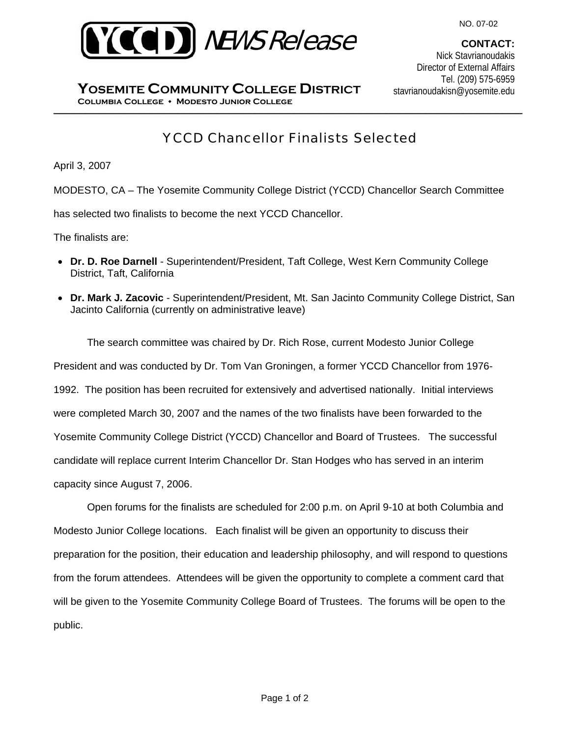

**CONTACT:**  Nick Stavrianoudakis Director of External Affairs Tel. (209) 575-6959 stavrianoudakisn@yosemite.edu

\_\_\_\_\_\_\_\_\_\_\_\_\_\_\_\_\_\_\_\_\_\_\_\_\_\_\_\_\_\_\_\_\_\_\_\_\_\_\_\_\_\_\_\_\_\_\_\_\_\_\_\_\_\_\_\_\_\_\_\_\_\_\_\_\_\_\_\_\_\_\_\_ **Columbia College Modesto Junior College YOSEMITE COMMUNITY COLLEGE DISTRICT**

# YCCD Chancellor Finalists Selected

April 3, 2007

MODESTO, CA – The Yosemite Community College District (YCCD) Chancellor Search Committee

has selected two finalists to become the next YCCD Chancellor.

The finalists are:

- **Dr. D. Roe Darnell**  Superintendent/President, Taft College, West Kern Community College District, Taft, California
- **Dr. Mark J. Zacovic** Superintendent/President, Mt. San Jacinto Community College District, San Jacinto California (currently on administrative leave)

The search committee was chaired by Dr. Rich Rose, current Modesto Junior College President and was conducted by Dr. Tom Van Groningen, a former YCCD Chancellor from 1976- 1992. The position has been recruited for extensively and advertised nationally. Initial interviews were completed March 30, 2007 and the names of the two finalists have been forwarded to the Yosemite Community College District (YCCD) Chancellor and Board of Trustees. The successful candidate will replace current Interim Chancellor Dr. Stan Hodges who has served in an interim capacity since August 7, 2006.

Open forums for the finalists are scheduled for 2:00 p.m. on April 9-10 at both Columbia and Modesto Junior College locations. Each finalist will be given an opportunity to discuss their preparation for the position, their education and leadership philosophy, and will respond to questions from the forum attendees. Attendees will be given the opportunity to complete a comment card that will be given to the Yosemite Community College Board of Trustees. The forums will be open to the public.